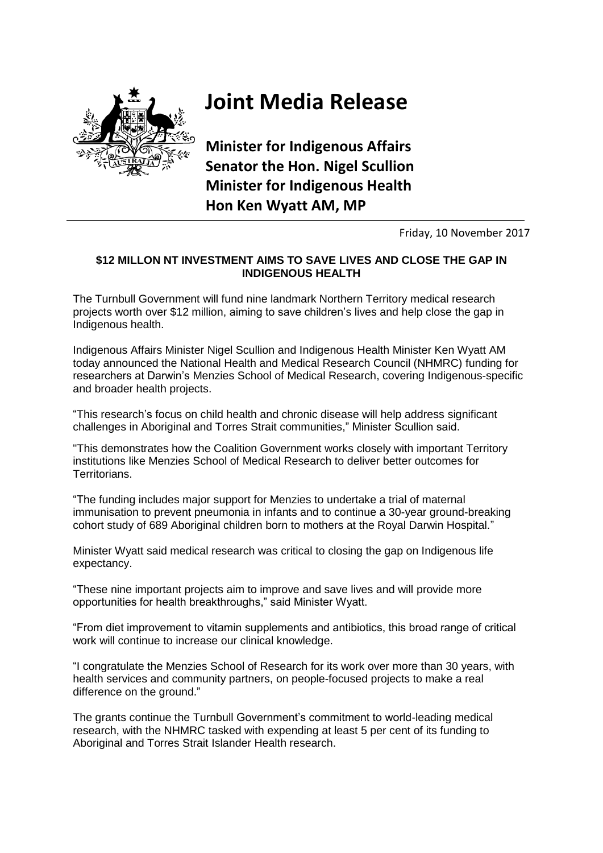

## **Joint Media Release**

**Minister for Indigenous Affairs Senator the Hon. Nigel Scullion Minister for Indigenous Health Hon Ken Wyatt AM, MP**

Friday, 10 November 2017

## **\$12 MILLON NT INVESTMENT AIMS TO SAVE LIVES AND CLOSE THE GAP IN INDIGENOUS HEALTH**

The Turnbull Government will fund nine landmark Northern Territory medical research projects worth over \$12 million, aiming to save children's lives and help close the gap in Indigenous health.

Indigenous Affairs Minister Nigel Scullion and Indigenous Health Minister Ken Wyatt AM today announced the National Health and Medical Research Council (NHMRC) funding for researchers at Darwin's Menzies School of Medical Research, covering Indigenous-specific and broader health projects.

"This research's focus on child health and chronic disease will help address significant challenges in Aboriginal and Torres Strait communities," Minister Scullion said.

"This demonstrates how the Coalition Government works closely with important Territory institutions like Menzies School of Medical Research to deliver better outcomes for Territorians.

"The funding includes major support for Menzies to undertake a trial of maternal immunisation to prevent pneumonia in infants and to continue a 30-year ground-breaking cohort study of 689 Aboriginal children born to mothers at the Royal Darwin Hospital."

Minister Wyatt said medical research was critical to closing the gap on Indigenous life expectancy.

"These nine important projects aim to improve and save lives and will provide more opportunities for health breakthroughs," said Minister Wyatt.

"From diet improvement to vitamin supplements and antibiotics, this broad range of critical work will continue to increase our clinical knowledge.

"I congratulate the Menzies School of Research for its work over more than 30 years, with health services and community partners, on people-focused projects to make a real difference on the ground."

The grants continue the Turnbull Government's commitment to world-leading medical research, with the NHMRC tasked with expending at least 5 per cent of its funding to Aboriginal and Torres Strait Islander Health research.